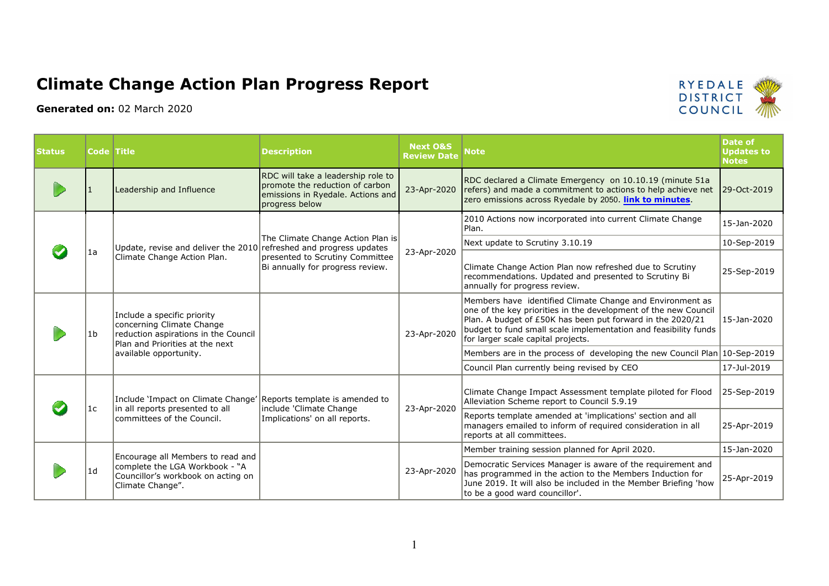## Climate Change Action Plan Progress Report

Generated on: 02 March 2020



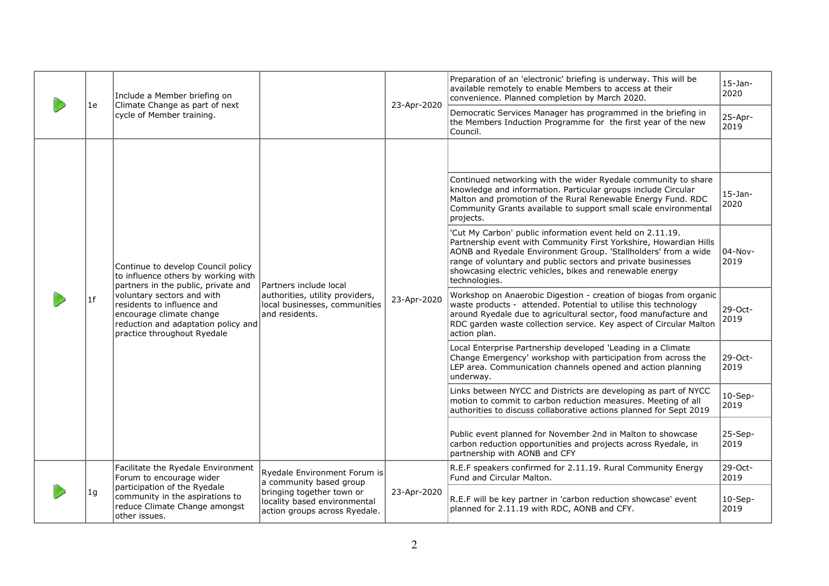|  | 1e | Include a Member briefing on<br>Climate Change as part of next<br>cycle of Member training.                                                                                                                                                                                    |                                                                                                              | 23-Apr-2020 | Preparation of an 'electronic' briefing is underway. This will be<br>available remotely to enable Members to access at their<br>convenience. Planned completion by March 2020.<br>Democratic Services Manager has programmed in the briefing in                                                                                               | $15-$ Jan-<br>2020<br>25-Apr- |
|--|----|--------------------------------------------------------------------------------------------------------------------------------------------------------------------------------------------------------------------------------------------------------------------------------|--------------------------------------------------------------------------------------------------------------|-------------|-----------------------------------------------------------------------------------------------------------------------------------------------------------------------------------------------------------------------------------------------------------------------------------------------------------------------------------------------|-------------------------------|
|  |    |                                                                                                                                                                                                                                                                                |                                                                                                              |             | the Members Induction Programme for the first year of the new<br>Council.                                                                                                                                                                                                                                                                     | 2019                          |
|  |    |                                                                                                                                                                                                                                                                                |                                                                                                              |             |                                                                                                                                                                                                                                                                                                                                               |                               |
|  |    | Continue to develop Council policy<br>to influence others by working with<br>partners in the public, private and<br>voluntary sectors and with<br>residents to influence and<br>encourage climate change<br>reduction and adaptation policy and<br>practice throughout Ryedale | Partners include local<br>authorities, utility providers,<br>local businesses, communities<br>and residents. | 23-Apr-2020 | Continued networking with the wider Ryedale community to share<br>knowledge and information. Particular groups include Circular<br>Malton and promotion of the Rural Renewable Energy Fund. RDC<br>Community Grants available to support small scale environmental<br>projects.                                                               | $15-$ Jan-<br>2020            |
|  |    |                                                                                                                                                                                                                                                                                |                                                                                                              |             | 'Cut My Carbon' public information event held on 2.11.19.<br>Partnership event with Community First Yorkshire, Howardian Hills<br>AONB and Ryedale Environment Group. 'Stallholders' from a wide<br>range of voluntary and public sectors and private businesses<br>showcasing electric vehicles, bikes and renewable energy<br>technologies. | 04-Nov-<br>2019               |
|  | 1f |                                                                                                                                                                                                                                                                                |                                                                                                              |             | Workshop on Anaerobic Digestion - creation of biogas from organic<br>waste products - attended. Potential to utilise this technology<br>around Ryedale due to agricultural sector, food manufacture and<br>RDC garden waste collection service. Key aspect of Circular Malton<br>action plan.                                                 | $29-Oct-$<br>2019             |
|  |    |                                                                                                                                                                                                                                                                                |                                                                                                              |             | Local Enterprise Partnership developed 'Leading in a Climate<br>Change Emergency' workshop with participation from across the<br>LEP area. Communication channels opened and action planning<br>underway.                                                                                                                                     | 29-Oct-<br>2019               |
|  |    |                                                                                                                                                                                                                                                                                |                                                                                                              |             | Links between NYCC and Districts are developing as part of NYCC<br>motion to commit to carbon reduction measures. Meeting of all<br>authorities to discuss collaborative actions planned for Sept 2019                                                                                                                                        | $10-Sep-$<br>2019             |
|  |    |                                                                                                                                                                                                                                                                                |                                                                                                              |             | Public event planned for November 2nd in Malton to showcase<br>carbon reduction opportunities and projects across Ryedale, in<br>partnership with AONB and CFY                                                                                                                                                                                | 25-Sep-<br>2019               |
|  |    | Facilitate the Ryedale Environment<br>Forum to encourage wider                                                                                                                                                                                                                 | Ryedale Environment Forum is<br>a community based group                                                      | 23-Apr-2020 | R.E.F speakers confirmed for 2.11.19. Rural Community Energy<br>Fund and Circular Malton.                                                                                                                                                                                                                                                     | 29-Oct-<br>2019               |
|  | 1g | participation of the Ryedale<br>community in the aspirations to<br>reduce Climate Change amongst<br>other issues.                                                                                                                                                              | bringing together town or<br>locality based environmental<br>action groups across Ryedale.                   |             | R.E.F will be key partner in 'carbon reduction showcase' event<br>planned for 2.11.19 with RDC, AONB and CFY.                                                                                                                                                                                                                                 | $10-Sep-$<br>2019             |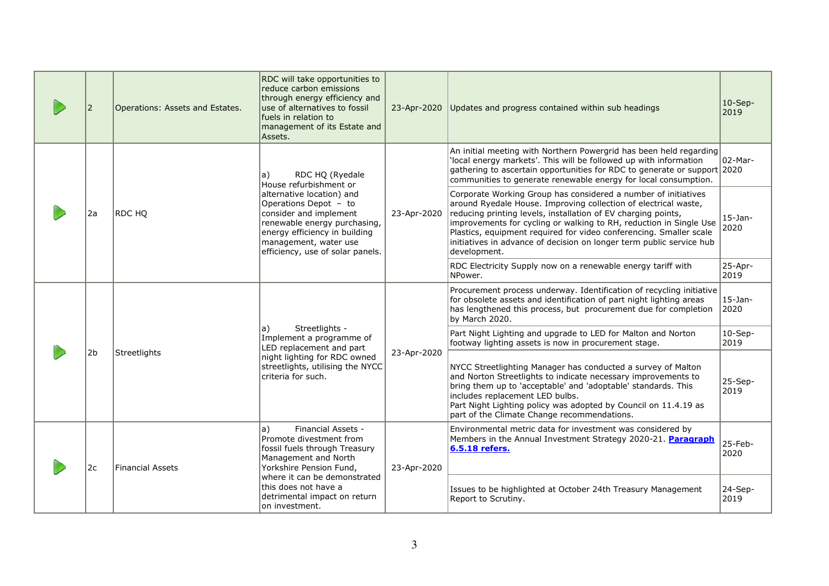|  | 2              | Operations: Assets and Estates. | RDC will take opportunities to<br>reduce carbon emissions<br>through energy efficiency and<br>use of alternatives to fossil<br>fuels in relation to<br>management of its Estate and<br>Assets.             | 23-Apr-2020 | Updates and progress contained within sub headings                                                                                                                                                                                                                                                                                                                                                                                     | $10-Sep-$<br>2019  |
|--|----------------|---------------------------------|------------------------------------------------------------------------------------------------------------------------------------------------------------------------------------------------------------|-------------|----------------------------------------------------------------------------------------------------------------------------------------------------------------------------------------------------------------------------------------------------------------------------------------------------------------------------------------------------------------------------------------------------------------------------------------|--------------------|
|  |                |                                 | a)<br>RDC HQ (Ryedale<br>House refurbishment or                                                                                                                                                            |             | An initial meeting with Northern Powergrid has been held regarding<br>'local energy markets'. This will be followed up with information<br>gathering to ascertain opportunities for RDC to generate or support 2020<br>communities to generate renewable energy for local consumption.                                                                                                                                                 | $02$ -Mar-         |
|  | 2a             | RDC HO                          | alternative location) and<br>Operations Depot - to<br>consider and implement<br>renewable energy purchasing,<br>energy efficiency in building<br>management, water use<br>efficiency, use of solar panels. | 23-Apr-2020 | Corporate Working Group has considered a number of initiatives<br>around Ryedale House. Improving collection of electrical waste,<br>reducing printing levels, installation of EV charging points,<br>improvements for cycling or walking to RH, reduction in Single Use<br>Plastics, equipment required for video conferencing. Smaller scale<br>initiatives in advance of decision on longer term public service hub<br>development. | $15$ -Jan-<br>2020 |
|  |                |                                 |                                                                                                                                                                                                            |             | RDC Electricity Supply now on a renewable energy tariff with<br>NPower.                                                                                                                                                                                                                                                                                                                                                                | 25-Apr-<br>2019    |
|  |                |                                 |                                                                                                                                                                                                            |             | Procurement process underway. Identification of recycling initiative<br>for obsolete assets and identification of part night lighting areas<br>has lengthened this process, but procurement due for completion<br>by March 2020.                                                                                                                                                                                                       | $15$ -Jan-<br>2020 |
|  |                |                                 | Streetlights -<br> a)<br>Implement a programme of<br>LED replacement and part                                                                                                                              |             | Part Night Lighting and upgrade to LED for Malton and Norton<br>footway lighting assets is now in procurement stage.                                                                                                                                                                                                                                                                                                                   | $10-$ Sep-<br>2019 |
|  | 2 <sub>b</sub> | Streetlights                    | night lighting for RDC owned<br>streetlights, utilising the NYCC<br>criteria for such.                                                                                                                     | 23-Apr-2020 | NYCC Streetlighting Manager has conducted a survey of Malton<br>and Norton Streetlights to indicate necessary improvements to<br>bring them up to 'acceptable' and 'adoptable' standards. This<br>includes replacement LED bulbs.<br>Part Night Lighting policy was adopted by Council on 11.4.19 as<br>part of the Climate Change recommendations.                                                                                    | 25-Sep-<br>2019    |
|  | 2c             | <b>Financial Assets</b>         | a)<br>Financial Assets -<br>Promote divestment from<br>fossil fuels through Treasury<br>Management and North<br>Yorkshire Pension Fund,                                                                    | 23-Apr-2020 | Environmental metric data for investment was considered by<br>Members in the Annual Investment Strategy 2020-21. Paragraph<br>6.5.18 refers.                                                                                                                                                                                                                                                                                           | 25-Feb-<br>2020    |
|  |                |                                 | where it can be demonstrated<br>this does not have a<br>detrimental impact on return<br>on investment.                                                                                                     |             | Issues to be highlighted at October 24th Treasury Management<br>Report to Scrutiny.                                                                                                                                                                                                                                                                                                                                                    | 24-Sep-<br>2019    |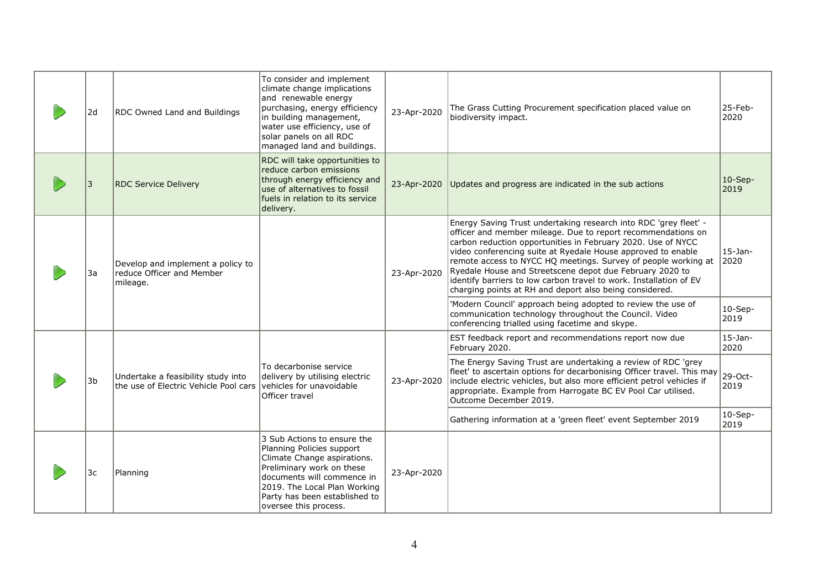| 2d | RDC Owned Land and Buildings                                                | To consider and implement<br>climate change implications<br>and renewable energy<br>purchasing, energy efficiency<br>in building management,<br>water use efficiency, use of<br>solar panels on all RDC<br>managed land and buildings.       | 23-Apr-2020 | The Grass Cutting Procurement specification placed value on<br>biodiversity impact.                                                                                                                                                                                                                                                                                                                                                                                                                                             | 25-Feb-<br>2020    |
|----|-----------------------------------------------------------------------------|----------------------------------------------------------------------------------------------------------------------------------------------------------------------------------------------------------------------------------------------|-------------|---------------------------------------------------------------------------------------------------------------------------------------------------------------------------------------------------------------------------------------------------------------------------------------------------------------------------------------------------------------------------------------------------------------------------------------------------------------------------------------------------------------------------------|--------------------|
| 3  | <b>RDC Service Delivery</b>                                                 | RDC will take opportunities to<br>reduce carbon emissions<br>through energy efficiency and<br>use of alternatives to fossil<br>fuels in relation to its service<br>delivery.                                                                 |             | 23-Apr-2020 Updates and progress are indicated in the sub actions                                                                                                                                                                                                                                                                                                                                                                                                                                                               | $10$ -Sep-<br>2019 |
| 3a | Develop and implement a policy to<br>reduce Officer and Member<br>mileage.  |                                                                                                                                                                                                                                              | 23-Apr-2020 | Energy Saving Trust undertaking research into RDC 'grey fleet' -<br>officer and member mileage. Due to report recommendations on<br>carbon reduction opportunities in February 2020. Use of NYCC<br>video conferencing suite at Ryedale House approved to enable<br>remote access to NYCC HQ meetings. Survey of people working at<br>Ryedale House and Streetscene depot due February 2020 to<br>identify barriers to low carbon travel to work. Installation of EV<br>charging points at RH and deport also being considered. | $15$ -Jan-<br>2020 |
|    |                                                                             |                                                                                                                                                                                                                                              |             | 'Modern Council' approach being adopted to review the use of<br>communication technology throughout the Council. Video<br>conferencing trialled using facetime and skype.                                                                                                                                                                                                                                                                                                                                                       | $10-Sep-$<br>2019  |
|    |                                                                             |                                                                                                                                                                                                                                              |             | EST feedback report and recommendations report now due<br>February 2020.                                                                                                                                                                                                                                                                                                                                                                                                                                                        | $15$ -Jan-<br>2020 |
| 3b | Undertake a feasibility study into<br>the use of Electric Vehicle Pool cars | To decarbonise service<br>delivery by utilising electric<br>vehicles for unavoidable<br>Officer travel                                                                                                                                       | 23-Apr-2020 | The Energy Saving Trust are undertaking a review of RDC 'grey<br>fleet' to ascertain options for decarbonising Officer travel. This may<br>include electric vehicles, but also more efficient petrol vehicles if<br>appropriate. Example from Harrogate BC EV Pool Car utilised.<br>Outcome December 2019.                                                                                                                                                                                                                      | 29-Oct-<br>2019    |
|    |                                                                             |                                                                                                                                                                                                                                              |             | Gathering information at a 'green fleet' event September 2019                                                                                                                                                                                                                                                                                                                                                                                                                                                                   | $10-Sep-$<br>2019  |
| 3c | Planning                                                                    | 3 Sub Actions to ensure the<br>Planning Policies support<br>Climate Change aspirations.<br>Preliminary work on these<br>documents will commence in<br>2019. The Local Plan Working<br>Party has been established to<br>oversee this process. | 23-Apr-2020 |                                                                                                                                                                                                                                                                                                                                                                                                                                                                                                                                 |                    |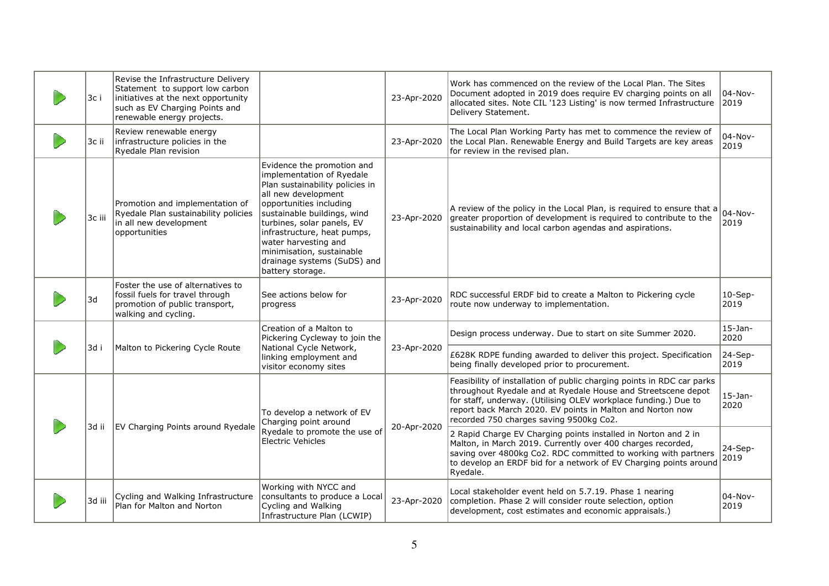| 3c i   | Revise the Infrastructure Delivery<br>Statement to support low carbon<br>initiatives at the next opportunity<br>such as EV Charging Points and<br>renewable energy projects. |                                                                                                                                                                                                                                                                                                                                                  | 23-Apr-2020 | Work has commenced on the review of the Local Plan. The Sites<br>Document adopted in 2019 does require EV charging points on all<br>allocated sites. Note CIL '123 Listing' is now termed Infrastructure<br>Delivery Statement.                                                                                     | 04-Nov-<br>2019    |
|--------|------------------------------------------------------------------------------------------------------------------------------------------------------------------------------|--------------------------------------------------------------------------------------------------------------------------------------------------------------------------------------------------------------------------------------------------------------------------------------------------------------------------------------------------|-------------|---------------------------------------------------------------------------------------------------------------------------------------------------------------------------------------------------------------------------------------------------------------------------------------------------------------------|--------------------|
| 3c ii  | Review renewable energy<br>infrastructure policies in the<br>Ryedale Plan revision                                                                                           |                                                                                                                                                                                                                                                                                                                                                  | 23-Apr-2020 | The Local Plan Working Party has met to commence the review of<br>the Local Plan. Renewable Energy and Build Targets are key areas<br>for review in the revised plan.                                                                                                                                               | 04-Nov-<br>2019    |
| 3c iii | Promotion and implementation of<br>Ryedale Plan sustainability policies<br>in all new development<br>opportunities                                                           | Evidence the promotion and<br>implementation of Ryedale<br>Plan sustainability policies in<br>all new development<br>opportunities including<br>sustainable buildings, wind<br>turbines, solar panels, EV<br>infrastructure, heat pumps,<br>water harvesting and<br>minimisation, sustainable<br>drainage systems (SuDS) and<br>battery storage. | 23-Apr-2020 | A review of the policy in the Local Plan, is required to ensure that a<br>greater proportion of development is required to contribute to the<br>sustainability and local carbon agendas and aspirations.                                                                                                            | $04-Nov-$<br>2019  |
| 3d     | Foster the use of alternatives to<br>fossil fuels for travel through<br>promotion of public transport,<br>walking and cycling.                                               | See actions below for<br>progress                                                                                                                                                                                                                                                                                                                | 23-Apr-2020 | RDC successful ERDF bid to create a Malton to Pickering cycle<br>route now underway to implementation.                                                                                                                                                                                                              | $10-Sep-$<br>2019  |
|        |                                                                                                                                                                              | Creation of a Malton to<br>Pickering Cycleway to join the                                                                                                                                                                                                                                                                                        |             | Design process underway. Due to start on site Summer 2020.                                                                                                                                                                                                                                                          | $15-$ Jan-<br>2020 |
| 3d i   | Malton to Pickering Cycle Route                                                                                                                                              | National Cycle Network,<br>linking employment and<br>visitor economy sites                                                                                                                                                                                                                                                                       | 23-Apr-2020 | £628K RDPE funding awarded to deliver this project. Specification<br>being finally developed prior to procurement.                                                                                                                                                                                                  | 24-Sep-<br>2019    |
|        | EV Charging Points around Ryedale<br>3d ii                                                                                                                                   | To develop a network of EV<br>Charging point around<br>Ryedale to promote the use of<br><b>Electric Vehicles</b>                                                                                                                                                                                                                                 | 20-Apr-2020 | Feasibility of installation of public charging points in RDC car parks<br>throughout Ryedale and at Ryedale House and Streetscene depot<br>for staff, underway. (Utilising OLEV workplace funding.) Due to<br>report back March 2020. EV points in Malton and Norton now<br>recorded 750 charges saving 9500kg Co2. | $15-$ Jan-<br>2020 |
|        |                                                                                                                                                                              |                                                                                                                                                                                                                                                                                                                                                  |             | 2 Rapid Charge EV Charging points installed in Norton and 2 in<br>Malton, in March 2019. Currently over 400 charges recorded,<br>saving over 4800kg Co2. RDC committed to working with partners<br>to develop an ERDF bid for a network of EV Charging points around<br>Ryedale.                                    | $24-Sep-$<br>2019  |
| 3d iii | Cycling and Walking Infrastructure<br>Plan for Malton and Norton                                                                                                             | Working with NYCC and<br>consultants to produce a Local<br>Cycling and Walking<br>Infrastructure Plan (LCWIP)                                                                                                                                                                                                                                    | 23-Apr-2020 | Local stakeholder event held on 5.7.19. Phase 1 nearing<br>completion. Phase 2 will consider route selection, option<br>development, cost estimates and economic appraisals.)                                                                                                                                       | $04-Nov-$<br>2019  |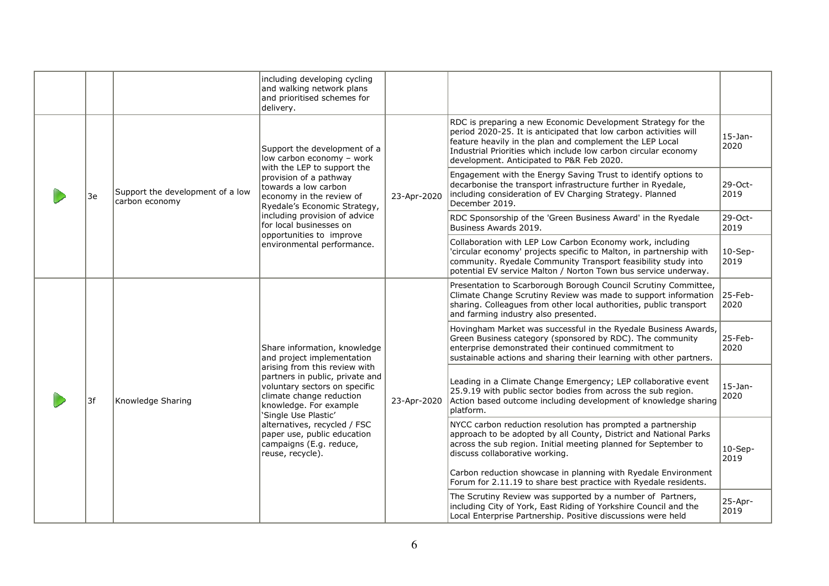|  |    |                                                            | including developing cycling<br>and walking network plans<br>and prioritised schemes for<br>delivery.                                                                                                                                                                                                         |                                                                                                                                                                                                                                                              |                                                                                                                                                                                                                                                                      |                    |
|--|----|------------------------------------------------------------|---------------------------------------------------------------------------------------------------------------------------------------------------------------------------------------------------------------------------------------------------------------------------------------------------------------|--------------------------------------------------------------------------------------------------------------------------------------------------------------------------------------------------------------------------------------------------------------|----------------------------------------------------------------------------------------------------------------------------------------------------------------------------------------------------------------------------------------------------------------------|--------------------|
|  |    | Support the development of a<br>low carbon economy - work  | RDC is preparing a new Economic Development Strategy for the<br>period 2020-25. It is anticipated that low carbon activities will<br>feature heavily in the plan and complement the LEP Local<br>Industrial Priorities which include low carbon circular economy<br>development. Anticipated to P&R Feb 2020. | $15-$ Jan-<br>2020                                                                                                                                                                                                                                           |                                                                                                                                                                                                                                                                      |                    |
|  | 3e | Support the development of a low<br>carbon economy         | with the LEP to support the<br>provision of a pathway<br>towards a low carbon<br>economy in the review of<br>Ryedale's Economic Strategy,<br>including provision of advice<br>for local businesses on                                                                                                         | 23-Apr-2020                                                                                                                                                                                                                                                  | Engagement with the Energy Saving Trust to identify options to<br>decarbonise the transport infrastructure further in Ryedale,<br>including consideration of EV Charging Strategy. Planned<br>December 2019.                                                         | 29-Oct-<br>2019    |
|  |    |                                                            |                                                                                                                                                                                                                                                                                                               |                                                                                                                                                                                                                                                              | RDC Sponsorship of the 'Green Business Award' in the Ryedale<br>Business Awards 2019.                                                                                                                                                                                | 29-Oct-<br>2019    |
|  |    |                                                            | opportunities to improve<br>environmental performance.                                                                                                                                                                                                                                                        |                                                                                                                                                                                                                                                              | Collaboration with LEP Low Carbon Economy work, including<br>'circular economy' projects specific to Malton, in partnership with<br>community. Ryedale Community Transport feasibility study into<br>potential EV service Malton / Norton Town bus service underway. | $10-Sep-$<br>2019  |
|  |    |                                                            |                                                                                                                                                                                                                                                                                                               |                                                                                                                                                                                                                                                              | Presentation to Scarborough Borough Council Scrutiny Committee,<br>Climate Change Scrutiny Review was made to support information<br>sharing. Colleagues from other local authorities, public transport<br>and farming industry also presented.                      | 25-Feb-<br>2020    |
|  |    | Share information, knowledge<br>and project implementation |                                                                                                                                                                                                                                                                                                               | Hovingham Market was successful in the Ryedale Business Awards,<br>Green Business category (sponsored by RDC). The community<br>enterprise demonstrated their continued commitment to<br>sustainable actions and sharing their learning with other partners. | 25-Feb-<br>2020                                                                                                                                                                                                                                                      |                    |
|  | 3f | Knowledge Sharing                                          | arising from this review with<br>partners in public, private and<br>voluntary sectors on specific<br>climate change reduction<br>knowledge. For example<br>'Single Use Plastic'                                                                                                                               | 23-Apr-2020                                                                                                                                                                                                                                                  | Leading in a Climate Change Emergency; LEP collaborative event<br>25.9.19 with public sector bodies from across the sub region.<br>Action based outcome including development of knowledge sharing<br>platform.                                                      | $15-$ Jan-<br>2020 |
|  |    |                                                            | alternatives, recycled / FSC<br>paper use, public education<br>campaigns (E.g. reduce,<br>reuse, recycle).                                                                                                                                                                                                    |                                                                                                                                                                                                                                                              | NYCC carbon reduction resolution has prompted a partnership<br>approach to be adopted by all County, District and National Parks<br>across the sub region. Initial meeting planned for September to<br>discuss collaborative working.                                | $10-Sep-$<br>2019  |
|  |    |                                                            |                                                                                                                                                                                                                                                                                                               |                                                                                                                                                                                                                                                              | Carbon reduction showcase in planning with Ryedale Environment<br>Forum for 2.11.19 to share best practice with Ryedale residents.                                                                                                                                   |                    |
|  |    |                                                            |                                                                                                                                                                                                                                                                                                               |                                                                                                                                                                                                                                                              | The Scrutiny Review was supported by a number of Partners,<br>including City of York, East Riding of Yorkshire Council and the<br>Local Enterprise Partnership. Positive discussions were held                                                                       | 25-Apr-<br>2019    |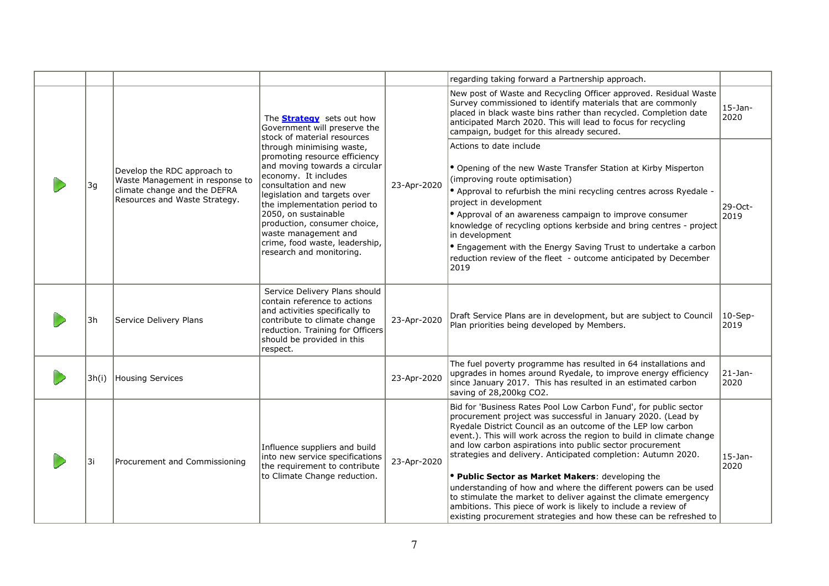|       |                                                                                                                                 |                                                                                                                                                                                                                                                                                                                                                           |             | regarding taking forward a Partnership approach.                                                                                                                                                                                                                                                                                                                                                                                                                                                                                                                                                                                                                                                                                         |                     |
|-------|---------------------------------------------------------------------------------------------------------------------------------|-----------------------------------------------------------------------------------------------------------------------------------------------------------------------------------------------------------------------------------------------------------------------------------------------------------------------------------------------------------|-------------|------------------------------------------------------------------------------------------------------------------------------------------------------------------------------------------------------------------------------------------------------------------------------------------------------------------------------------------------------------------------------------------------------------------------------------------------------------------------------------------------------------------------------------------------------------------------------------------------------------------------------------------------------------------------------------------------------------------------------------------|---------------------|
|       |                                                                                                                                 | The <b>Strategy</b> sets out how<br>Government will preserve the<br>stock of material resources                                                                                                                                                                                                                                                           |             | New post of Waste and Recycling Officer approved. Residual Waste<br>Survey commissioned to identify materials that are commonly<br>placed in black waste bins rather than recycled. Completion date<br>anticipated March 2020. This will lead to focus for recycling<br>campaign, budget for this already secured.                                                                                                                                                                                                                                                                                                                                                                                                                       | $15-$ Jan-<br>2020  |
| 3g    | Develop the RDC approach to<br>Waste Management in response to<br>climate change and the DEFRA<br>Resources and Waste Strategy. | through minimising waste,<br>promoting resource efficiency<br>and moving towards a circular<br>economy. It includes<br>consultation and new<br>legislation and targets over<br>the implementation period to<br>2050, on sustainable<br>production, consumer choice,<br>waste management and<br>crime, food waste, leadership,<br>research and monitoring. | 23-Apr-2020 | Actions to date include<br>• Opening of the new Waste Transfer Station at Kirby Misperton<br>(improving route optimisation)<br>. Approval to refurbish the mini recycling centres across Ryedale -<br>project in development<br>• Approval of an awareness campaign to improve consumer<br>knowledge of recycling options kerbside and bring centres - project<br>in development<br>• Engagement with the Energy Saving Trust to undertake a carbon<br>reduction review of the fleet - outcome anticipated by December<br>2019                                                                                                                                                                                                           | $29-Oct-$<br>2019   |
| 3h    | Service Delivery Plans                                                                                                          | Service Delivery Plans should<br>contain reference to actions<br>and activities specifically to<br>contribute to climate change<br>reduction. Training for Officers<br>should be provided in this<br>respect.                                                                                                                                             | 23-Apr-2020 | Draft Service Plans are in development, but are subject to Council<br>Plan priorities being developed by Members.                                                                                                                                                                                                                                                                                                                                                                                                                                                                                                                                                                                                                        | $ 10$ -Sep-<br>2019 |
| 3h(i) | Housing Services                                                                                                                |                                                                                                                                                                                                                                                                                                                                                           | 23-Apr-2020 | The fuel poverty programme has resulted in 64 installations and<br>upgrades in homes around Ryedale, to improve energy efficiency<br>since January 2017. This has resulted in an estimated carbon<br>saving of 28,200kg CO2.                                                                                                                                                                                                                                                                                                                                                                                                                                                                                                             | 21-Jan-<br>2020     |
| 3i    | Procurement and Commissioning                                                                                                   | Influence suppliers and build<br>into new service specifications<br>the requirement to contribute<br>to Climate Change reduction.                                                                                                                                                                                                                         | 23-Apr-2020 | Bid for 'Business Rates Pool Low Carbon Fund', for public sector<br>procurement project was successful in January 2020. (Lead by<br>Ryedale District Council as an outcome of the LEP low carbon<br>event.). This will work across the region to build in climate change<br>and low carbon aspirations into public sector procurement<br>strategies and delivery. Anticipated completion: Autumn 2020.<br>• Public Sector as Market Makers: developing the<br>understanding of how and where the different powers can be used<br>to stimulate the market to deliver against the climate emergency<br>ambitions. This piece of work is likely to include a review of<br>existing procurement strategies and how these can be refreshed to | 15-Jan-<br>2020     |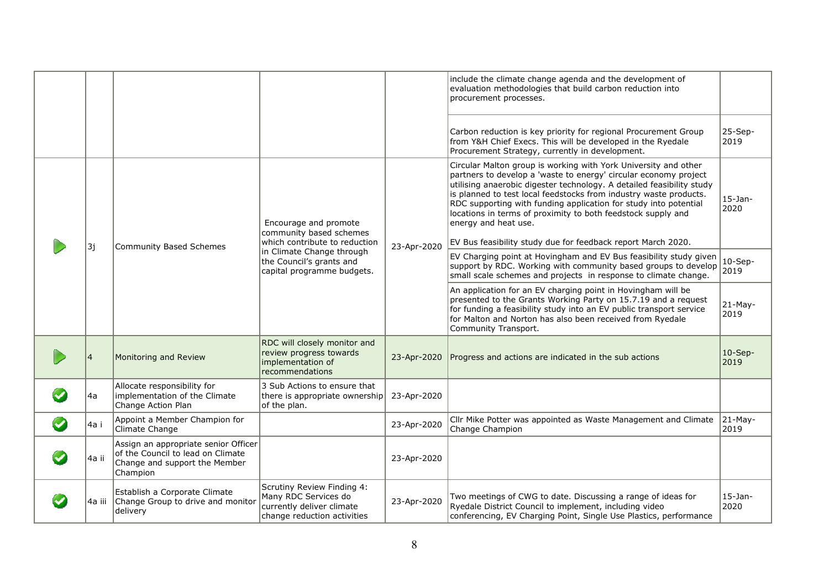|                      |                |                                                                                                                        |                                                                                                                |             | include the climate change agenda and the development of<br>evaluation methodologies that build carbon reduction into<br>procurement processes.                                                                                                                                                                                                                                                                                                                                                               |                    |
|----------------------|----------------|------------------------------------------------------------------------------------------------------------------------|----------------------------------------------------------------------------------------------------------------|-------------|---------------------------------------------------------------------------------------------------------------------------------------------------------------------------------------------------------------------------------------------------------------------------------------------------------------------------------------------------------------------------------------------------------------------------------------------------------------------------------------------------------------|--------------------|
|                      |                |                                                                                                                        |                                                                                                                |             | Carbon reduction is key priority for regional Procurement Group<br>from Y&H Chief Execs. This will be developed in the Ryedale<br>Procurement Strategy, currently in development.                                                                                                                                                                                                                                                                                                                             | 25-Sep-<br>2019    |
|                      |                |                                                                                                                        | Encourage and promote<br>community based schemes<br>which contribute to reduction                              |             | Circular Malton group is working with York University and other<br>partners to develop a 'waste to energy' circular economy project<br>utilising anaerobic digester technology. A detailed feasibility study<br>is planned to test local feedstocks from industry waste products.<br>RDC supporting with funding application for study into potential<br>locations in terms of proximity to both feedstock supply and<br>energy and heat use.<br>EV Bus feasibility study due for feedback report March 2020. | $15$ -Jan-<br>2020 |
|                      | 3j             | Community Based Schemes                                                                                                | in Climate Change through<br>the Council's grants and<br>capital programme budgets.                            | 23-Apr-2020 | EV Charging point at Hovingham and EV Bus feasibility study given<br>support by RDC. Working with community based groups to develop<br>small scale schemes and projects in response to climate change.                                                                                                                                                                                                                                                                                                        | $10-$ Sep-<br>2019 |
|                      |                |                                                                                                                        |                                                                                                                |             | An application for an EV charging point in Hovingham will be<br>presented to the Grants Working Party on 15.7.19 and a request<br>for funding a feasibility study into an EV public transport service<br>for Malton and Norton has also been received from Ryedale<br>Community Transport.                                                                                                                                                                                                                    | $21-May-$<br>2019  |
|                      | $\overline{4}$ | Monitoring and Review                                                                                                  | RDC will closely monitor and<br>review progress towards<br>implementation of<br>recommendations                | 23-Apr-2020 | Progress and actions are indicated in the sub actions                                                                                                                                                                                                                                                                                                                                                                                                                                                         | $10-Sep-$<br>2019  |
|                      | 4a             | Allocate responsibility for<br>implementation of the Climate<br>Change Action Plan                                     | 3 Sub Actions to ensure that<br>there is appropriate ownership<br>of the plan.                                 | 23-Apr-2020 |                                                                                                                                                                                                                                                                                                                                                                                                                                                                                                               |                    |
| $\blacktriangledown$ | 4a i           | Appoint a Member Champion for<br>Climate Change                                                                        |                                                                                                                | 23-Apr-2020 | Cllr Mike Potter was appointed as Waste Management and Climate<br>Change Champion                                                                                                                                                                                                                                                                                                                                                                                                                             | 21-May-<br>2019    |
|                      | 4a ii          | Assign an appropriate senior Officer<br>of the Council to lead on Climate<br>Change and support the Member<br>Champion |                                                                                                                | 23-Apr-2020 |                                                                                                                                                                                                                                                                                                                                                                                                                                                                                                               |                    |
|                      | 4a iii         | Establish a Corporate Climate<br>Change Group to drive and monitor<br>delivery                                         | Scrutiny Review Finding 4:<br>Many RDC Services do<br>currently deliver climate<br>change reduction activities | 23-Apr-2020 | Two meetings of CWG to date. Discussing a range of ideas for<br>Ryedale District Council to implement, including video<br>conferencing, EV Charging Point, Single Use Plastics, performance                                                                                                                                                                                                                                                                                                                   | $15-$ Jan-<br>2020 |